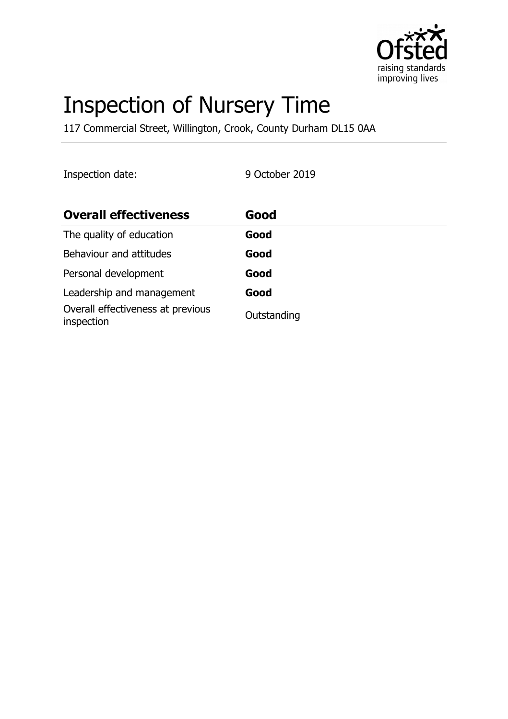

# Inspection of Nursery Time

117 Commercial Street, Willington, Crook, County Durham DL15 0AA

Inspection date: 9 October 2019

| <b>Overall effectiveness</b>                    | Good        |
|-------------------------------------------------|-------------|
| The quality of education                        | Good        |
| Behaviour and attitudes                         | Good        |
| Personal development                            | Good        |
| Leadership and management                       | Good        |
| Overall effectiveness at previous<br>inspection | Outstanding |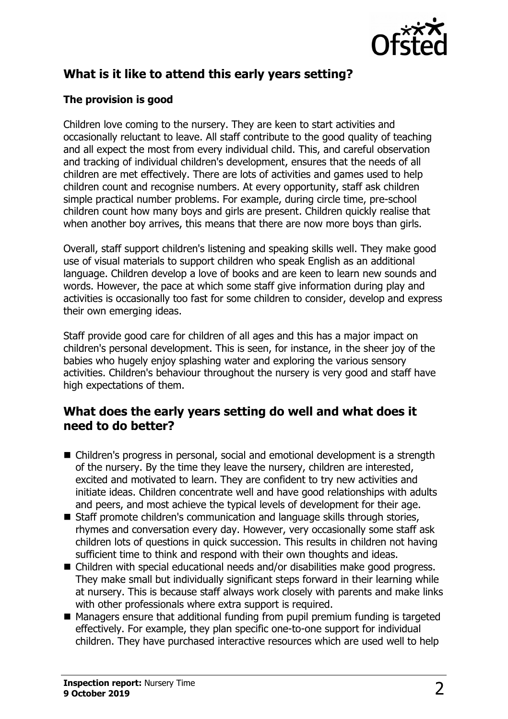

# **What is it like to attend this early years setting?**

### **The provision is good**

Children love coming to the nursery. They are keen to start activities and occasionally reluctant to leave. All staff contribute to the good quality of teaching and all expect the most from every individual child. This, and careful observation and tracking of individual children's development, ensures that the needs of all children are met effectively. There are lots of activities and games used to help children count and recognise numbers. At every opportunity, staff ask children simple practical number problems. For example, during circle time, pre-school children count how many boys and girls are present. Children quickly realise that when another boy arrives, this means that there are now more boys than girls.

Overall, staff support children's listening and speaking skills well. They make good use of visual materials to support children who speak English as an additional language. Children develop a love of books and are keen to learn new sounds and words. However, the pace at which some staff give information during play and activities is occasionally too fast for some children to consider, develop and express their own emerging ideas.

Staff provide good care for children of all ages and this has a major impact on children's personal development. This is seen, for instance, in the sheer joy of the babies who hugely enjoy splashing water and exploring the various sensory activities. Children's behaviour throughout the nursery is very good and staff have high expectations of them.

## **What does the early years setting do well and what does it need to do better?**

- Children's progress in personal, social and emotional development is a strength of the nursery. By the time they leave the nursery, children are interested, excited and motivated to learn. They are confident to try new activities and initiate ideas. Children concentrate well and have good relationships with adults and peers, and most achieve the typical levels of development for their age.
- Staff promote children's communication and language skills through stories, rhymes and conversation every day. However, very occasionally some staff ask children lots of questions in quick succession. This results in children not having sufficient time to think and respond with their own thoughts and ideas.
- Children with special educational needs and/or disabilities make good progress. They make small but individually significant steps forward in their learning while at nursery. This is because staff always work closely with parents and make links with other professionals where extra support is required.
- $\blacksquare$  Managers ensure that additional funding from pupil premium funding is targeted effectively. For example, they plan specific one-to-one support for individual children. They have purchased interactive resources which are used well to help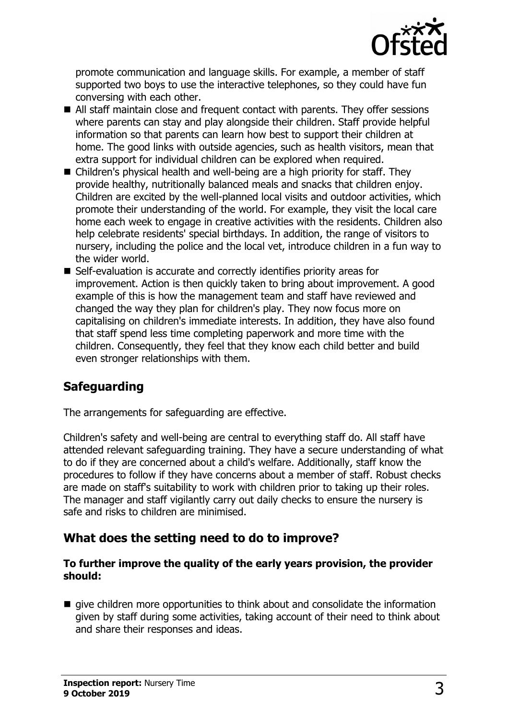

promote communication and language skills. For example, a member of staff supported two boys to use the interactive telephones, so they could have fun conversing with each other.

- $\blacksquare$  All staff maintain close and frequent contact with parents. They offer sessions where parents can stay and play alongside their children. Staff provide helpful information so that parents can learn how best to support their children at home. The good links with outside agencies, such as health visitors, mean that extra support for individual children can be explored when required.
- $\blacksquare$  Children's physical health and well-being are a high priority for staff. They provide healthy, nutritionally balanced meals and snacks that children enjoy. Children are excited by the well-planned local visits and outdoor activities, which promote their understanding of the world. For example, they visit the local care home each week to engage in creative activities with the residents. Children also help celebrate residents' special birthdays. In addition, the range of visitors to nursery, including the police and the local vet, introduce children in a fun way to the wider world.
- $\blacksquare$  Self-evaluation is accurate and correctly identifies priority areas for improvement. Action is then quickly taken to bring about improvement. A good example of this is how the management team and staff have reviewed and changed the way they plan for children's play. They now focus more on capitalising on children's immediate interests. In addition, they have also found that staff spend less time completing paperwork and more time with the children. Consequently, they feel that they know each child better and build even stronger relationships with them.

# **Safeguarding**

The arrangements for safeguarding are effective.

Children's safety and well-being are central to everything staff do. All staff have attended relevant safeguarding training. They have a secure understanding of what to do if they are concerned about a child's welfare. Additionally, staff know the procedures to follow if they have concerns about a member of staff. Robust checks are made on staff's suitability to work with children prior to taking up their roles. The manager and staff vigilantly carry out daily checks to ensure the nursery is safe and risks to children are minimised.

## **What does the setting need to do to improve?**

#### **To further improve the quality of the early years provision, the provider should:**

 $\blacksquare$  give children more opportunities to think about and consolidate the information given by staff during some activities, taking account of their need to think about and share their responses and ideas.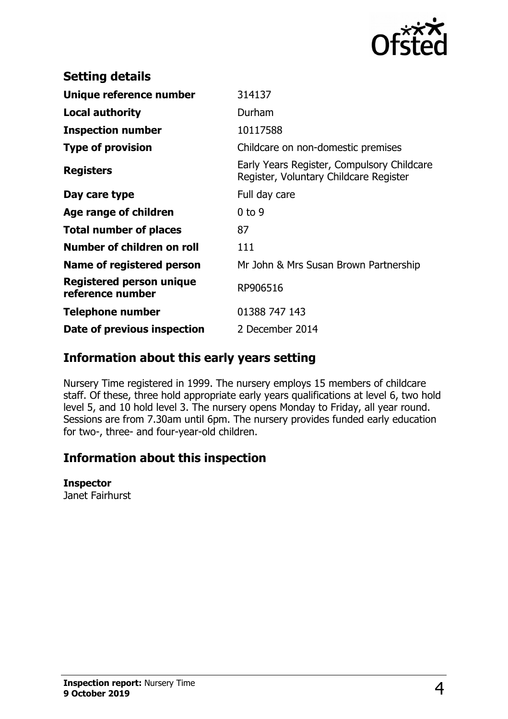

| <b>Setting details</b>                       |                                                                                      |
|----------------------------------------------|--------------------------------------------------------------------------------------|
| Unique reference number                      | 314137                                                                               |
| <b>Local authority</b>                       | Durham                                                                               |
| <b>Inspection number</b>                     | 10117588                                                                             |
| <b>Type of provision</b>                     | Childcare on non-domestic premises                                                   |
| <b>Registers</b>                             | Early Years Register, Compulsory Childcare<br>Register, Voluntary Childcare Register |
| Day care type                                | Full day care                                                                        |
| Age range of children                        | $0$ to 9                                                                             |
| <b>Total number of places</b>                | 87                                                                                   |
| Number of children on roll                   | 111                                                                                  |
| Name of registered person                    | Mr John & Mrs Susan Brown Partnership                                                |
| Registered person unique<br>reference number | RP906516                                                                             |
| <b>Telephone number</b>                      | 01388 747 143                                                                        |
| Date of previous inspection                  | 2 December 2014                                                                      |

## **Information about this early years setting**

Nursery Time registered in 1999. The nursery employs 15 members of childcare staff. Of these, three hold appropriate early years qualifications at level 6, two hold level 5, and 10 hold level 3. The nursery opens Monday to Friday, all year round. Sessions are from 7.30am until 6pm. The nursery provides funded early education for two-, three- and four-year-old children.

# **Information about this inspection**

#### **Inspector**

Janet Fairhurst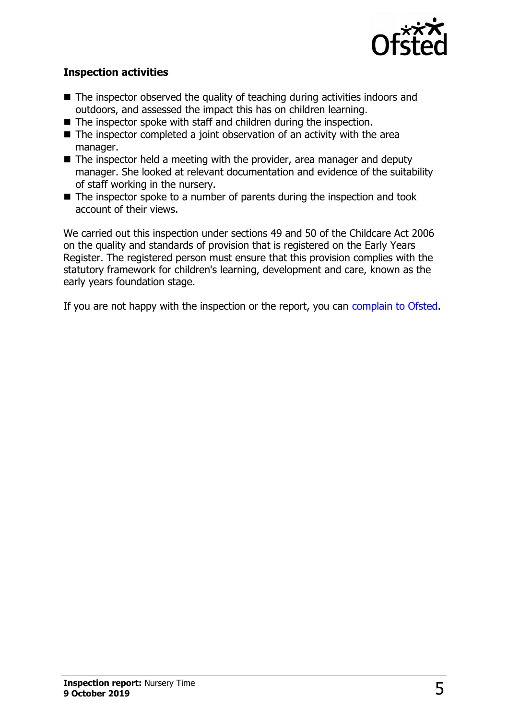

#### **Inspection activities**

- $\blacksquare$  The inspector observed the quality of teaching during activities indoors and outdoors, and assessed the impact this has on children learning.
- $\blacksquare$  The inspector spoke with staff and children during the inspection.
- $\blacksquare$  The inspector completed a joint observation of an activity with the area manager.
- The inspector held a meeting with the provider, area manager and deputy manager. She looked at relevant documentation and evidence of the suitability of staff working in the nursery.
- $\blacksquare$  The inspector spoke to a number of parents during the inspection and took account of their views.

We carried out this inspection under sections 49 and 50 of the Childcare Act 2006 on the quality and standards of provision that is registered on the Early Years Register. The registered person must ensure that this provision complies with the statutory framework for children's learning, development and care, known as the early years foundation stage.

If you are not happy with the inspection or the report, you can [complain to Ofsted.](http://www.gov.uk/complain-ofsted-report)